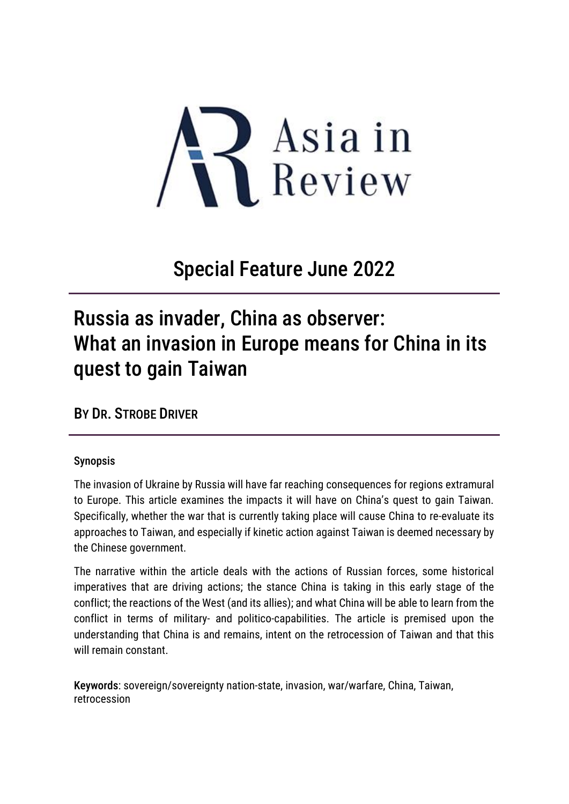

## Special Feature June 2022

# Russia as invader, China as observer: What an invasion in Europe means for China in its quest to gain Taiwan

BY DR. STROBE DRIVER

#### Synopsis

The invasion of Ukraine by Russia will have far reaching consequences for regions extramural to Europe. This article examines the impacts it will have on China's quest to gain Taiwan. Specifically, whether the war that is currently taking place will cause China to re-evaluate its approaches to Taiwan, and especially if kinetic action against Taiwan is deemed necessary by the Chinese government.

The narrative within the article deals with the actions of Russian forces, some historical imperatives that are driving actions; the stance China is taking in this early stage of the conflict; the reactions of the West (and its allies); and what China will be able to learn from the conflict in terms of military- and politico-capabilities. The article is premised upon the understanding that China is and remains, intent on the retrocession of Taiwan and that this will remain constant.

Keywords: sovereign/sovereignty nation-state, invasion, war/warfare, China, Taiwan, retrocession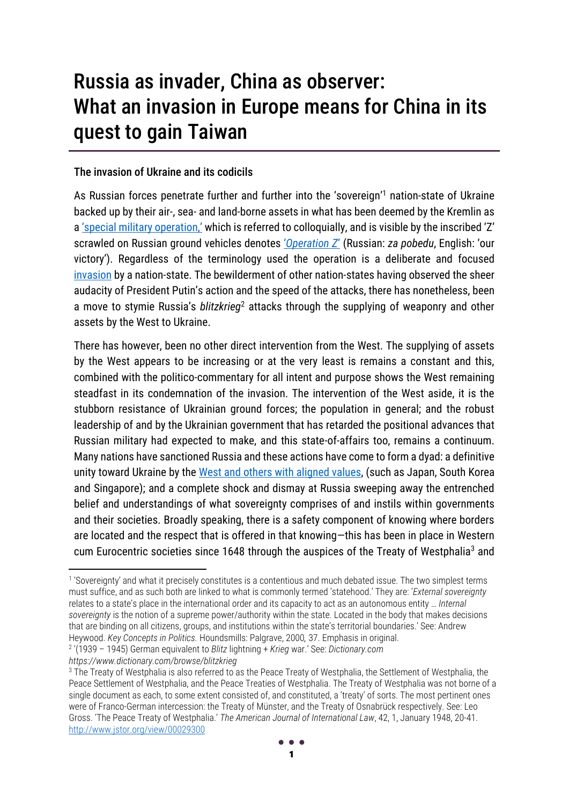# Russia as invader, China as observer: What an invasion in Europe means for China in its quest to gain Taiwan

#### The invasion of Ukraine and its codicils

As Russian forces penetrate further and further into the 'sovereign'<sup>1</sup> nation-state of Ukraine backed up by their air-, sea- and land-borne assets in what has been deemed by the Kremlin as a ['special military operation,'](https://www.abc.net.au/news/2022-03-01/russian-military-remade-itself-modern-deadly-fighting-machine/100868776#:~:text=The%20operation%20has%20been%20referred,invasion%20of%20Afghanistan%20in%201979.) which is referred to colloquially, and is visible by the inscribed 'Z' scrawled on Russian ground vehicles denotes '*[Operation Z](https://www.abc.net.au/news/2022-03-01/russian-military-remade-itself-modern-deadly-fighting-machine/100868776#:~:text=The%20operation%20has%20been%20referred,invasion%20of%20Afghanistan%20in%201979.)*' (Russian: *za pobedu*, English: 'our victory'). Regardless of the terminology used the operation is a deliberate and focused [invasion](https://www.dictionary.com/browse/invasion) by a nation-state. The bewilderment of other nation-states having observed the sheer audacity of President Putin's action and the speed of the attacks, there has nonetheless, been a move to stymie Russia's *blitzkrieg*<sup>2</sup> attacks through the supplying of weaponry and other assets by the West to Ukraine.

There has however, been no other direct intervention from the West. The supplying of assets by the West appears to be increasing or at the very least is remains a constant and this, combined with the politico-commentary for all intent and purpose shows the West remaining steadfast in its condemnation of the invasion. The intervention of the West aside, it is the stubborn resistance of Ukrainian ground forces; the population in general; and the robust leadership of and by the Ukrainian government that has retarded the positional advances that Russian military had expected to make, and this state-of-affairs too, remains a continuum. Many nations have sanctioned Russia and these actions have come to form a dyad: a definitive unity toward Ukraine by the [West and others with aligned values,](https://edition.cnn.com/2022/02/25/business/list-global-sanctions-russia-ukraine-war-intl-hnk/index.html) (such as Japan, South Korea and Singapore); and a complete shock and dismay at Russia sweeping away the entrenched belief and understandings of what sovereignty comprises of and instils within governments and their societies. Broadly speaking, there is a safety component of knowing where borders are located and the respect that is offered in that knowing—this has been in place in Western cum Eurocentric societies since 1648 through the auspices of the Treaty of Westphalia<sup>3</sup> and

*https://www.dictionary.com/browse/blitzkrieg*

<sup>1</sup> 'Sovereignty' and what it precisely constitutes is a contentious and much debated issue. The two simplest terms must suffice, and as such both are linked to what is commonly termed 'statehood.' They are: '*External sovereignty*  relates to a state's place in the international order and its capacity to act as an autonomous entity … *Internal sovereignty* is the notion of a supreme power/authority within the state. Located in the body that makes decisions that are binding on all citizens, groups, and institutions within the state's territorial boundaries.' See: Andrew Heywood. *Key Concepts in Politics.* Houndsmills: Palgrave, 2000*,* 37. Emphasis in original.

<sup>2</sup> '(1939 – 1945) German equivalent to *Blitz* lightning + *Krieg* war.' See: *Dictionary.com* 

<sup>3</sup> The Treaty of Westphalia is also referred to as the Peace Treaty of Westphalia, the Settlement of Westphalia, the Peace Settlement of Westphalia, and the Peace Treaties of Westphalia. The Treaty of Westphalia was not borne of a single document as each, to some extent consisted of, and constituted, a 'treaty' of sorts. The most pertinent ones were of Franco-German intercession: the Treaty of Münster, and the Treaty of Osnabrück respectively. See: Leo Gross. 'The Peace Treaty of Westphalia.' *The American Journal of International Law*, 42, 1, January 1948, 20-41. <http://www.jstor.org/view/00029300>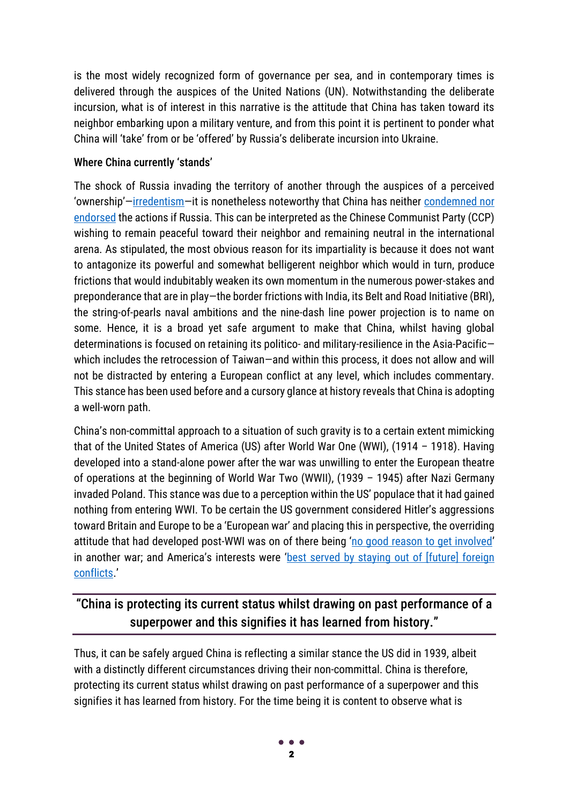is the most widely recognized form of governance per sea, and in contemporary times is delivered through the auspices of the United Nations (UN). Notwithstanding the deliberate incursion, what is of interest in this narrative is the attitude that China has taken toward its neighbor embarking upon a military venture, and from this point it is pertinent to ponder what China will 'take' from or be 'offered' by Russia's deliberate incursion into Ukraine.

### Where China currently 'stands'

The shock of Russia invading the territory of another through the auspices of a perceived 'ownership'-[irredentism](https://www.dictionary.com/browse/irredentism)-it is nonetheless noteworthy that China has neither condemned nor [endorsed](https://www.nytimes.com/2022/02/27/business/china-russia-ukraine-invasion.html) the actions if Russia. This can be interpreted as the Chinese Communist Party (CCP) wishing to remain peaceful toward their neighbor and remaining neutral in the international arena. As stipulated, the most obvious reason for its impartiality is because it does not want to antagonize its powerful and somewhat belligerent neighbor which would in turn, produce frictions that would indubitably weaken its own momentum in the numerous power-stakes and preponderance that are in play—the border frictions with India, its Belt and Road Initiative (BRI), the string-of-pearls naval ambitions and the nine-dash line power projection is to name on some. Hence, it is a broad yet safe argument to make that China, whilst having global determinations is focused on retaining its politico- and military-resilience in the Asia-Pacific which includes the retrocession of Taiwan—and within this process, it does not allow and will not be distracted by entering a European conflict at any level, which includes commentary. This stance has been used before and a cursory glance at history reveals that China is adopting a well-worn path.

China's non-committal approach to a situation of such gravity is to a certain extent mimicking that of the United States of America (US) after World War One (WWI), (1914 – 1918). Having developed into a stand-alone power after the war was unwilling to enter the European theatre of operations at the beginning of World War Two (WWII), (1939 – 1945) after Nazi Germany invaded Poland. This stance was due to a perception within the US' populace that it had gained nothing from entering WWI. To be certain the US government considered Hitler's aggressions toward Britain and Europe to be a 'European war' and placing this in perspective, the overriding attitude that had developed post-WWI was on of there being '[no good reason to get involved](https://www.nationalww2museum.org/war/articles/great-debate)' in another war; and America's interests were 'best served by staying out of [future] foreign [conflicts](https://www.nationalww2museum.org/war/articles/great-debate).'

### "China is protecting its current status whilst drawing on past performance of a superpower and this signifies it has learned from history."

Thus, it can be safely argued China is reflecting a similar stance the US did in 1939, albeit with a distinctly different circumstances driving their non-committal. China is therefore, protecting its current status whilst drawing on past performance of a superpower and this signifies it has learned from history. For the time being it is content to observe what is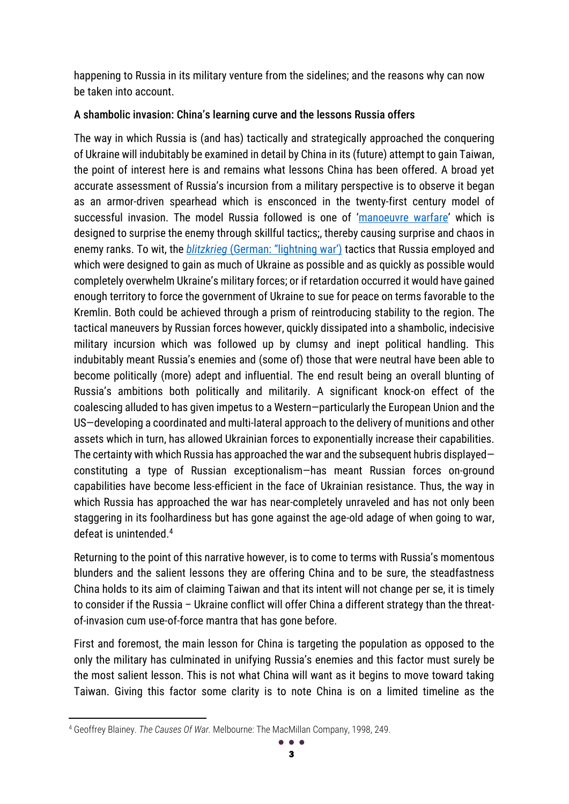happening to Russia in its military venture from the sidelines; and the reasons why can now be taken into account.

### A shambolic invasion: China's learning curve and the lessons Russia offers

The way in which Russia is (and has) tactically and strategically approached the conquering of Ukraine will indubitably be examined in detail by China in its (future) attempt to gain Taiwan, the point of interest here is and remains what lessons China has been offered. A broad yet accurate assessment of Russia's incursion from a military perspective is to observe it began as an armor-driven spearhead which is ensconced in the twenty-first century model of successful invasion. The model Russia followed is one of '[manoeuvre warfare](https://www.jstor.org/stable/43940759)' which is designed to surprise the enemy through skillful tactics;, thereby causing surprise and chaos in enemy ranks. To wit, the *blitzkrieg* [\(German: "lightning war'\)](https://www.britannica.com/topic/blitzkrieg) tactics that Russia employed and which were designed to gain as much of Ukraine as possible and as quickly as possible would completely overwhelm Ukraine's military forces; or if retardation occurred it would have gained enough territory to force the government of Ukraine to sue for peace on terms favorable to the Kremlin. Both could be achieved through a prism of reintroducing stability to the region. The tactical maneuvers by Russian forces however, quickly dissipated into a shambolic, indecisive military incursion which was followed up by clumsy and inept political handling. This indubitably meant Russia's enemies and (some of) those that were neutral have been able to become politically (more) adept and influential. The end result being an overall blunting of Russia's ambitions both politically and militarily. A significant knock-on effect of the coalescing alluded to has given impetus to a Western—particularly the European Union and the US—developing a coordinated and multi-lateral approach to the delivery of munitions and other assets which in turn, has allowed Ukrainian forces to exponentially increase their capabilities. The certainty with which Russia has approached the war and the subsequent hubris displayed constituting a type of Russian exceptionalism—has meant Russian forces on-ground capabilities have become less-efficient in the face of Ukrainian resistance. Thus, the way in which Russia has approached the war has near-completely unraveled and has not only been staggering in its foolhardiness but has gone against the age-old adage of when going to war, defeat is unintended.<sup>4</sup>

Returning to the point of this narrative however, is to come to terms with Russia's momentous blunders and the salient lessons they are offering China and to be sure, the steadfastness China holds to its aim of claiming Taiwan and that its intent will not change per se, it is timely to consider if the Russia – Ukraine conflict will offer China a different strategy than the threatof-invasion cum use-of-force mantra that has gone before.

First and foremost, the main lesson for China is targeting the population as opposed to the only the military has culminated in unifying Russia's enemies and this factor must surely be the most salient lesson. This is not what China will want as it begins to move toward taking Taiwan. Giving this factor some clarity is to note China is on a limited timeline as the

<sup>4</sup> Geoffrey Blainey. *The Causes Of War.* Melbourne: The MacMillan Company, 1998, 249.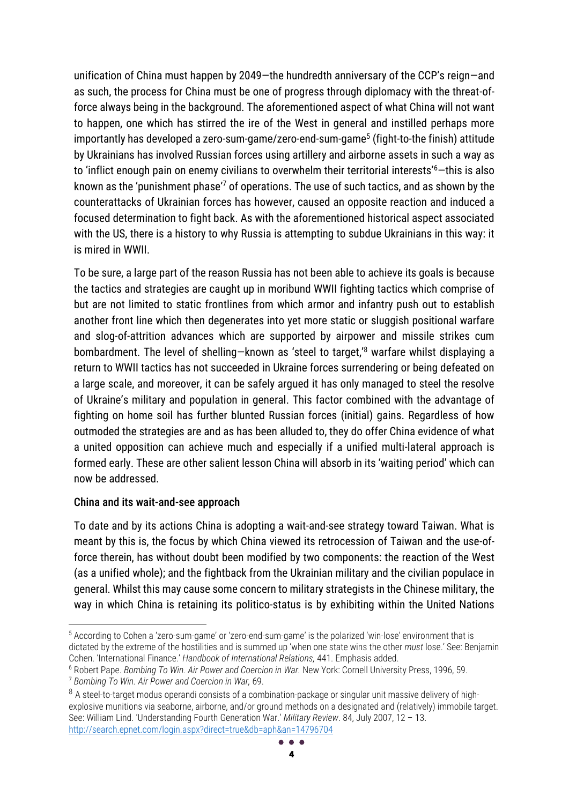unification of China must happen by 2049—the hundredth anniversary of the CCP's reign—and as such, the process for China must be one of progress through diplomacy with the threat-offorce always being in the background. The aforementioned aspect of what China will not want to happen, one which has stirred the ire of the West in general and instilled perhaps more importantly has developed a zero-sum-game/zero-end-sum-game<sup>5</sup> (fight-to-the finish) attitude by Ukrainians has involved Russian forces using artillery and airborne assets in such a way as to 'inflict enough pain on enemy civilians to overwhelm their territorial interests'<sup>6</sup>-this is also known as the 'punishment phase'<sup>7</sup> of operations. The use of such tactics, and as shown by the counterattacks of Ukrainian forces has however, caused an opposite reaction and induced a focused determination to fight back. As with the aforementioned historical aspect associated with the US, there is a history to why Russia is attempting to subdue Ukrainians in this way: it is mired in WWII.

To be sure, a large part of the reason Russia has not been able to achieve its goals is because the tactics and strategies are caught up in moribund WWII fighting tactics which comprise of but are not limited to static frontlines from which armor and infantry push out to establish another front line which then degenerates into yet more static or sluggish positional warfare and slog-of-attrition advances which are supported by airpower and missile strikes cum bombardment. The level of shelling-known as 'steel to target,<sup>'8</sup> warfare whilst displaying a return to WWII tactics has not succeeded in Ukraine forces surrendering or being defeated on a large scale, and moreover, it can be safely argued it has only managed to steel the resolve of Ukraine's military and population in general. This factor combined with the advantage of fighting on home soil has further blunted Russian forces (initial) gains. Regardless of how outmoded the strategies are and as has been alluded to, they do offer China evidence of what a united opposition can achieve much and especially if a unified multi-lateral approach is formed early. These are other salient lesson China will absorb in its 'waiting period' which can now be addressed.

#### China and its wait-and-see approach

To date and by its actions China is adopting a wait-and-see strategy toward Taiwan. What is meant by this is, the focus by which China viewed its retrocession of Taiwan and the use-offorce therein, has without doubt been modified by two components: the reaction of the West (as a unified whole); and the fightback from the Ukrainian military and the civilian populace in general. Whilst this may cause some concern to military strategists in the Chinese military, the way in which China is retaining its politico-status is by exhibiting within the United Nations

<sup>5</sup> According to Cohen a 'zero-sum-game' or 'zero-end-sum-game' is the polarized 'win-lose' environment that is dictated by the extreme of the hostilities and is summed up 'when one state wins the other *must* lose.' See: Benjamin Cohen. 'International Finance.' *Handbook of International Relations,* 441. Emphasis added.

<sup>6</sup> Robert Pape. *Bombing To Win. Air Power and Coercion in War.* New York: Cornell University Press, 1996, 59.

<sup>7</sup> *Bombing To Win. Air Power and Coercion in War,* 69.

<sup>&</sup>lt;sup>8</sup> A steel-to-target modus operandi consists of a combination-package or singular unit massive delivery of highexplosive munitions via seaborne, airborne, and/or ground methods on a designated and (relatively) immobile target. See: William Lind. 'Understanding Fourth Generation War.' *Military Review*. 84, July 2007, 12 – 13. <http://search.epnet.com/login.aspx?direct=true&db=aph&an=14796704>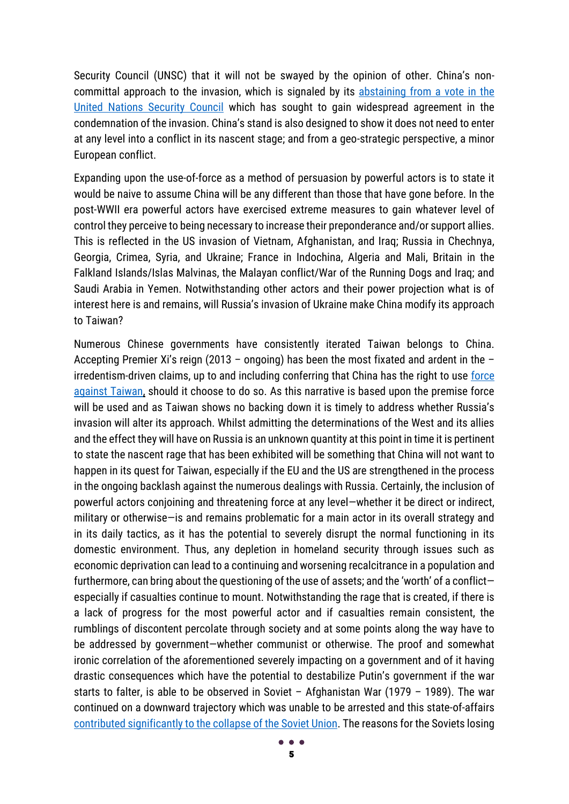Security Council (UNSC) that it will not be swayed by the opinion of other. China's noncommittal approach to the invasion, which is signaled by its [abstaining from a vote in the](https://inews.co.uk/news/un-security-council-ukraine-russia-vote-why-china-abstained-1485960)  [United Nations Security Council](https://inews.co.uk/news/un-security-council-ukraine-russia-vote-why-china-abstained-1485960) which has sought to gain widespread agreement in the condemnation of the invasion. China's stand is also designed to show it does not need to enter at any level into a conflict in its nascent stage; and from a geo-strategic perspective, a minor European conflict.

Expanding upon the use-of-force as a method of persuasion by powerful actors is to state it would be naive to assume China will be any different than those that have gone before. In the post-WWII era powerful actors have exercised extreme measures to gain whatever level of control they perceive to being necessary to increase their preponderance and/or support allies. This is reflected in the US invasion of Vietnam, Afghanistan, and Iraq; Russia in Chechnya, Georgia, Crimea, Syria, and Ukraine; France in Indochina, Algeria and Mali, Britain in the Falkland Islands/Islas Malvinas, the Malayan conflict/War of the Running Dogs and Iraq; and Saudi Arabia in Yemen. Notwithstanding other actors and their power projection what is of interest here is and remains, will Russia's invasion of Ukraine make China modify its approach to Taiwan?

Numerous Chinese governments have consistently iterated Taiwan belongs to China. Accepting Premier Xi's reign (2013 – ongoing) has been the most fixated and ardent in the – irredentism-driven claims, up to and including conferring that China has the right to use [force](https://www.theguardian.com/world/2019/jan/02/all-necessary-means-xi-jinping-reserves-right-to-use-force-against-taiwan)  [against Taiwan,](https://www.theguardian.com/world/2019/jan/02/all-necessary-means-xi-jinping-reserves-right-to-use-force-against-taiwan) should it choose to do so. As this narrative is based upon the premise force will be used and as Taiwan shows no backing down it is timely to address whether Russia's invasion will alter its approach. Whilst admitting the determinations of the West and its allies and the effect they will have on Russia is an unknown quantity at this point in time it is pertinent to state the nascent rage that has been exhibited will be something that China will not want to happen in its quest for Taiwan, especially if the EU and the US are strengthened in the process in the ongoing backlash against the numerous dealings with Russia. Certainly, the inclusion of powerful actors conjoining and threatening force at any level—whether it be direct or indirect, military or otherwise—is and remains problematic for a main actor in its overall strategy and in its daily tactics, as it has the potential to severely disrupt the normal functioning in its domestic environment. Thus, any depletion in homeland security through issues such as economic deprivation can lead to a continuing and worsening recalcitrance in a population and furthermore, can bring about the questioning of the use of assets; and the 'worth' of a conflict especially if casualties continue to mount. Notwithstanding the rage that is created, if there is a lack of progress for the most powerful actor and if casualties remain consistent, the rumblings of discontent percolate through society and at some points along the way have to be addressed by government—whether communist or otherwise. The proof and somewhat ironic correlation of the aforementioned severely impacting on a government and of it having drastic consequences which have the potential to destabilize Putin's government if the war starts to falter, is able to be observed in Soviet – Afghanistan War (1979 – 1989). The war continued on a downward trajectory which was unable to be arrested and this state-of-affairs [contributed significantly to the collapse of the Soviet Union.](https://faculty.washington.edu/aseem/afganwar.pdf) The reasons for the Soviets losing

5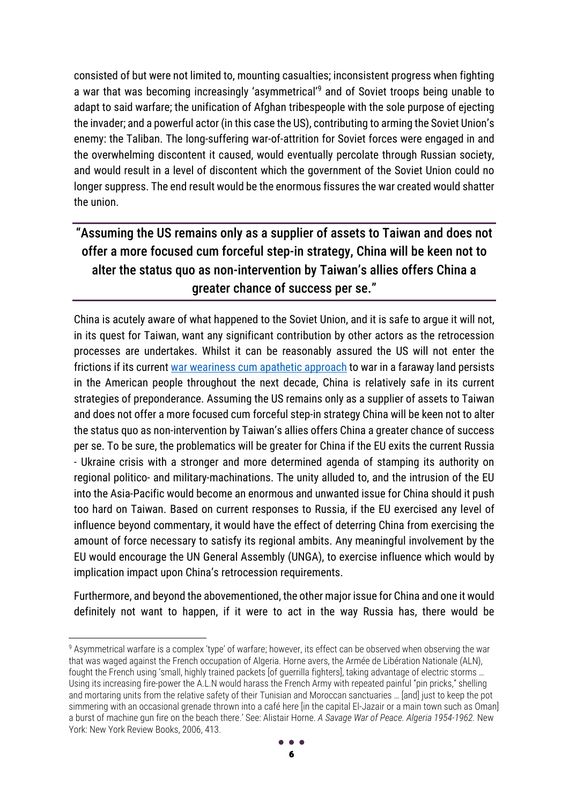consisted of but were not limited to, mounting casualties; inconsistent progress when fighting a war that was becoming increasingly 'asymmetrical'<sup>9</sup> and of Soviet troops being unable to adapt to said warfare; the unification of Afghan tribespeople with the sole purpose of ejecting the invader; and a powerful actor (in this case the US), contributing to arming the Soviet Union's enemy: the Taliban. The long-suffering war-of-attrition for Soviet forces were engaged in and the overwhelming discontent it caused, would eventually percolate through Russian society, and would result in a level of discontent which the government of the Soviet Union could no longer suppress. The end result would be the enormous fissures the war created would shatter the union.

## "Assuming the US remains only as a supplier of assets to Taiwan and does not offer a more focused cum forceful step-in strategy, China will be keen not to alter the status quo as non-intervention by Taiwan's allies offers China a greater chance of success per se."

China is acutely aware of what happened to the Soviet Union, and it is safe to argue it will not, in its quest for Taiwan, want any significant contribution by other actors as the retrocession processes are undertakes. Whilst it can be reasonably assured the US will not enter the frictions if its current [war weariness cum apathetic approach](https://mwi.usma.edu/americans-arent-war-weary-theyre-war-apathetic/) to war in a faraway land persists in the American people throughout the next decade, China is relatively safe in its current strategies of preponderance. Assuming the US remains only as a supplier of assets to Taiwan and does not offer a more focused cum forceful step-in strategy China will be keen not to alter the status quo as non-intervention by Taiwan's allies offers China a greater chance of success per se. To be sure, the problematics will be greater for China if the EU exits the current Russia - Ukraine crisis with a stronger and more determined agenda of stamping its authority on regional politico- and military-machinations. The unity alluded to, and the intrusion of the EU into the Asia-Pacific would become an enormous and unwanted issue for China should it push too hard on Taiwan. Based on current responses to Russia, if the EU exercised any level of influence beyond commentary, it would have the effect of deterring China from exercising the amount of force necessary to satisfy its regional ambits. Any meaningful involvement by the EU would encourage the UN General Assembly (UNGA), to exercise influence which would by implication impact upon China's retrocession requirements.

Furthermore, and beyond the abovementioned, the other major issue for China and one it would definitely not want to happen, if it were to act in the way Russia has, there would be

<sup>&</sup>lt;sup>9</sup> Asymmetrical warfare is a complex 'type' of warfare; however, its effect can be observed when observing the war that was waged against the French occupation of Algeria. Horne avers, the Armée de Libération Nationale (ALN), fought the French using 'small, highly trained packets [of guerrilla fighters], taking advantage of electric storms … Using its increasing fire-power the A.L.N would harass the French Army with repeated painful "pin pricks," shelling and mortaring units from the relative safety of their Tunisian and Moroccan sanctuaries … [and] just to keep the pot simmering with an occasional grenade thrown into a café here [in the capital El-Jazair or a main town such as Oman] a burst of machine gun fire on the beach there.' See: Alistair Horne. *A Savage War of Peace. Algeria 1954-1962.* New York: New York Review Books, 2006, 413.

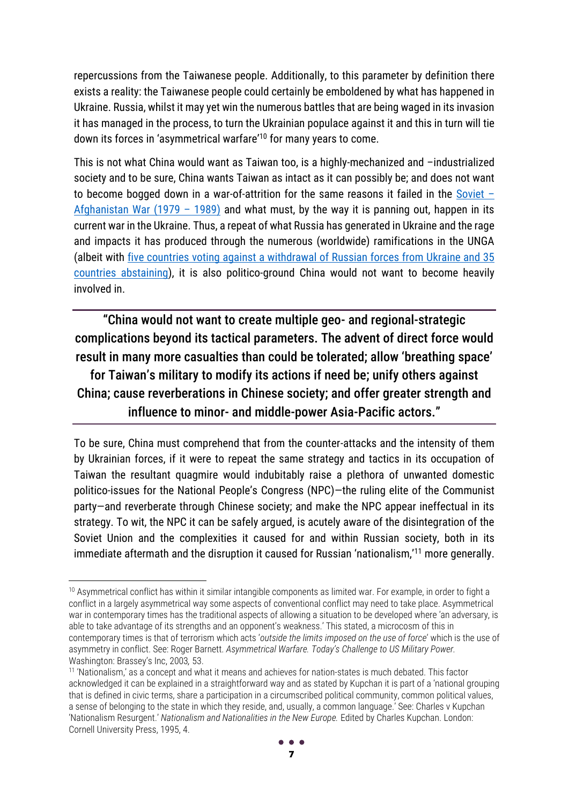repercussions from the Taiwanese people. Additionally, to this parameter by definition there exists a reality: the Taiwanese people could certainly be emboldened by what has happened in Ukraine. Russia, whilst it may yet win the numerous battles that are being waged in its invasion it has managed in the process, to turn the Ukrainian populace against it and this in turn will tie down its forces in 'asymmetrical warfare'<sup>10</sup> for many years to come.

This is not what China would want as Taiwan too, is a highly-mechanized and –industrialized society and to be sure, China wants Taiwan as intact as it can possibly be; and does not want to become bogged down in a war-of-attrition for the same reasons it failed in the [Soviet](https://www.rferl.org/a/adam-michnik-russia-ukraine-change-putin-brezhnev-afghan-war/31808312.html)  $-$ [Afghanistan War \(1979](https://www.rferl.org/a/adam-michnik-russia-ukraine-change-putin-brezhnev-afghan-war/31808312.html) – 1989) and what must, by the way it is panning out, happen in its current war in the Ukraine. Thus, a repeat of what Russia has generated in Ukraine and the rage and impacts it has produced through the numerous (worldwide) ramifications in the UNGA (albeit with [five countries voting against a withdrawal of Russian forces from Ukraine and 35](https://www.abc.net.au/news/2022-03-03/un-general-assembly-vote-russia-ukraine-war/100877612)  [countries abstaining\)](https://www.abc.net.au/news/2022-03-03/un-general-assembly-vote-russia-ukraine-war/100877612), it is also politico-ground China would not want to become heavily involved in.

"China would not want to create multiple geo- and regional-strategic complications beyond its tactical parameters. The advent of direct force would result in many more casualties than could be tolerated; allow 'breathing space'

for Taiwan's military to modify its actions if need be; unify others against China; cause reverberations in Chinese society; and offer greater strength and influence to minor- and middle-power Asia-Pacific actors."

To be sure, China must comprehend that from the counter-attacks and the intensity of them by Ukrainian forces, if it were to repeat the same strategy and tactics in its occupation of Taiwan the resultant quagmire would indubitably raise a plethora of unwanted domestic politico-issues for the National People's Congress (NPC)—the ruling elite of the Communist party—and reverberate through Chinese society; and make the NPC appear ineffectual in its strategy. To wit, the NPC it can be safely argued, is acutely aware of the disintegration of the Soviet Union and the complexities it caused for and within Russian society, both in its immediate aftermath and the disruption it caused for Russian 'nationalism,'<sup>11</sup> more generally.

<sup>&</sup>lt;sup>10</sup> Asymmetrical conflict has within it similar intangible components as limited war. For example, in order to fight a conflict in a largely asymmetrical way some aspects of conventional conflict may need to take place. Asymmetrical war in contemporary times has the traditional aspects of allowing a situation to be developed where 'an adversary, is able to take advantage of its strengths and an opponent's weakness.' This stated, a microcosm of this in contemporary times is that of terrorism which acts '*outside the limits imposed on the use of force*' which is the use of asymmetry in conflict. See: Roger Barnett. *Asymmetrical Warfare. Today's Challenge to US Military Power.*  Washington: Brassey's Inc, 2003*,* 53.

<sup>11</sup> 'Nationalism,' as a concept and what it means and achieves for nation-states is much debated. This factor acknowledged it can be explained in a straightforward way and as stated by Kupchan it is part of a 'national grouping that is defined in civic terms, share a participation in a circumscribed political community, common political values, a sense of belonging to the state in which they reside, and, usually, a common language.' See: Charles v Kupchan 'Nationalism Resurgent.' Nationalism and Nationalities in the New Europe. Edited by Charles Kupchan. London: Cornell University Press, 1995, 4.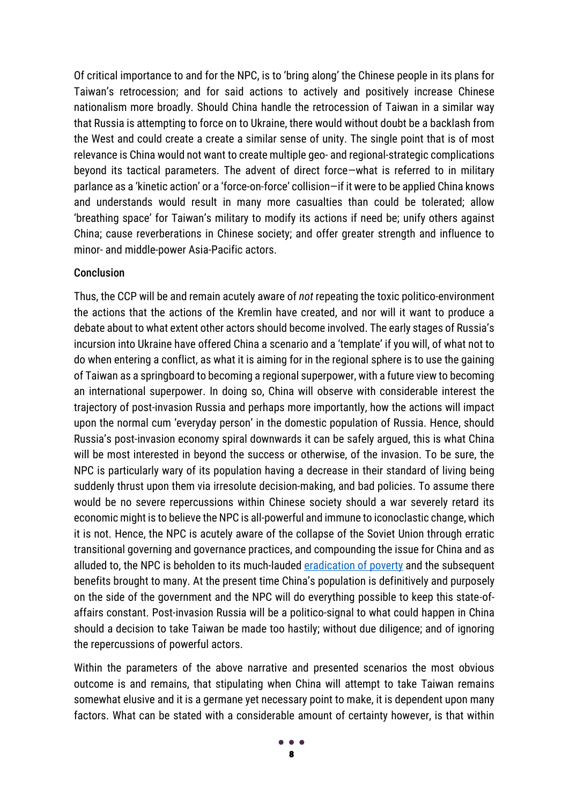Of critical importance to and for the NPC, is to 'bring along' the Chinese people in its plans for Taiwan's retrocession; and for said actions to actively and positively increase Chinese nationalism more broadly. Should China handle the retrocession of Taiwan in a similar way that Russia is attempting to force on to Ukraine, there would without doubt be a backlash from the West and could create a create a similar sense of unity. The single point that is of most relevance is China would not want to create multiple geo- and regional-strategic complications beyond its tactical parameters. The advent of direct force—what is referred to in military parlance as a 'kinetic action' or a 'force-on-force' collision—if it were to be applied China knows and understands would result in many more casualties than could be tolerated; allow 'breathing space' for Taiwan's military to modify its actions if need be; unify others against China; cause reverberations in Chinese society; and offer greater strength and influence to minor- and middle-power Asia-Pacific actors.

#### **Conclusion**

Thus, the CCP will be and remain acutely aware of *not* repeating the toxic politico-environment the actions that the actions of the Kremlin have created, and nor will it want to produce a debate about to what extent other actors should become involved. The early stages of Russia's incursion into Ukraine have offered China a scenario and a 'template' if you will, of what not to do when entering a conflict, as what it is aiming for in the regional sphere is to use the gaining of Taiwan as a springboard to becoming a regional superpower, with a future view to becoming an international superpower. In doing so, China will observe with considerable interest the trajectory of post-invasion Russia and perhaps more importantly, how the actions will impact upon the normal cum 'everyday person' in the domestic population of Russia. Hence, should Russia's post-invasion economy spiral downwards it can be safely argued, this is what China will be most interested in beyond the success or otherwise, of the invasion. To be sure, the NPC is particularly wary of its population having a decrease in their standard of living being suddenly thrust upon them via irresolute decision-making, and bad policies. To assume there would be no severe repercussions within Chinese society should a war severely retard its economic might is to believe the NPC is all-powerful and immune to iconoclastic change, which it is not. Hence, the NPC is acutely aware of the collapse of the Soviet Union through erratic transitional governing and governance practices, and compounding the issue for China and as alluded to, the NPC is beholden to its much-lauded [eradication of poverty](https://www.fmprc.gov.cn/ce/cglagos/eng/zlszc/t1858536.htm#:~:text=According%20to%20the%20President%2C%20over,of%20the%20global%20reduction%20in) and the subsequent benefits brought to many. At the present time China's population is definitively and purposely on the side of the government and the NPC will do everything possible to keep this state-ofaffairs constant. Post-invasion Russia will be a politico-signal to what could happen in China should a decision to take Taiwan be made too hastily; without due diligence; and of ignoring the repercussions of powerful actors.

Within the parameters of the above narrative and presented scenarios the most obvious outcome is and remains, that stipulating when China will attempt to take Taiwan remains somewhat elusive and it is a germane yet necessary point to make, it is dependent upon many factors. What can be stated with a considerable amount of certainty however, is that within

8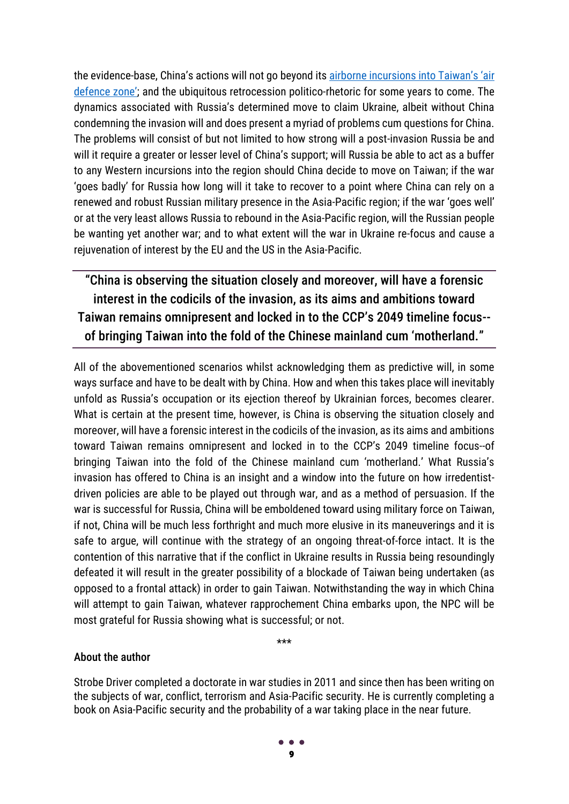the evidence-base, China's actions will not go beyond it[s airborne incursions into Taiwan's 'air](https://www.bbc.com/news/world-asia-58794094)  [defence zone'](https://www.bbc.com/news/world-asia-58794094); and the ubiquitous retrocession politico-rhetoric for some years to come. The dynamics associated with Russia's determined move to claim Ukraine, albeit without China condemning the invasion will and does present a myriad of problems cum questions for China. The problems will consist of but not limited to how strong will a post-invasion Russia be and will it require a greater or lesser level of China's support; will Russia be able to act as a buffer to any Western incursions into the region should China decide to move on Taiwan; if the war 'goes badly' for Russia how long will it take to recover to a point where China can rely on a renewed and robust Russian military presence in the Asia-Pacific region; if the war 'goes well' or at the very least allows Russia to rebound in the Asia-Pacific region, will the Russian people be wanting yet another war; and to what extent will the war in Ukraine re-focus and cause a rejuvenation of interest by the EU and the US in the Asia-Pacific.

"China is observing the situation closely and moreover, will have a forensic interest in the codicils of the invasion, as its aims and ambitions toward Taiwan remains omnipresent and locked in to the CCP's 2049 timeline focus- of bringing Taiwan into the fold of the Chinese mainland cum 'motherland."

All of the abovementioned scenarios whilst acknowledging them as predictive will, in some ways surface and have to be dealt with by China. How and when this takes place will inevitably unfold as Russia's occupation or its ejection thereof by Ukrainian forces, becomes clearer. What is certain at the present time, however, is China is observing the situation closely and moreover, will have a forensic interest in the codicils of the invasion, as its aims and ambitions toward Taiwan remains omnipresent and locked in to the CCP's 2049 timeline focus--of bringing Taiwan into the fold of the Chinese mainland cum 'motherland.' What Russia's invasion has offered to China is an insight and a window into the future on how irredentistdriven policies are able to be played out through war, and as a method of persuasion. If the war is successful for Russia, China will be emboldened toward using military force on Taiwan, if not, China will be much less forthright and much more elusive in its maneuverings and it is safe to argue, will continue with the strategy of an ongoing threat-of-force intact. It is the contention of this narrative that if the conflict in Ukraine results in Russia being resoundingly defeated it will result in the greater possibility of a blockade of Taiwan being undertaken (as opposed to a frontal attack) in order to gain Taiwan. Notwithstanding the way in which China will attempt to gain Taiwan, whatever rapprochement China embarks upon, the NPC will be most grateful for Russia showing what is successful; or not.

\*\*\*

#### About the author

Strobe Driver completed a doctorate in war studies in 2011 and since then has been writing on the subjects of war, conflict, terrorism and Asia-Pacific security. He is currently completing a book on Asia-Pacific security and the probability of a war taking place in the near future.